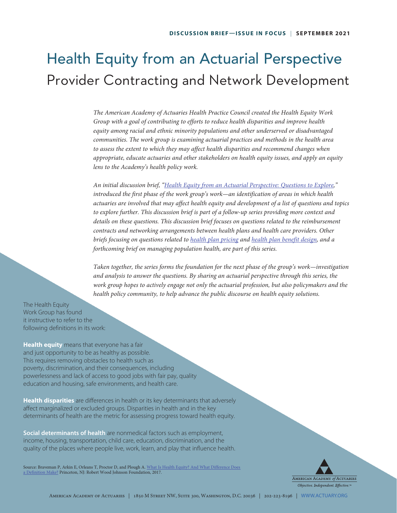# Health Equity from an Actuarial Perspective Provider Contracting and Network Development

*The American Academy of Actuaries Health Practice Council created the Health Equity Work Group with a goal of contributing to efforts to reduce health disparities and improve health equity among racial and ethnic minority populations and other underserved or disadvantaged communities. The work group is examining actuarial practices and methods in the health area*  to assess the extent to which they may affect health disparities and recommend changes when *appropriate, educate actuaries and other stakeholders on health equity issues, and apply an equity lens to the Academy's health policy work.* 

*An initial discussion brief, ["Health Equity from an Actuarial Perspective: Questions to Explore,](https://www.actuary.org/sites/default/files/2021-03/Health_Equity_Discussion_Brief_3.21.pdf)" introduced the first phase of the work group's work—an identification of areas in which health actuaries are involved that may affect health equity and development of a list of questions and topics to explore further. This discussion brief is part of a follow-up series providing more context and details on these questions. This discussion brief focuses on questions related to the reimbursement contracts and networking arrangements between health plans and health care providers. Other briefs focusing on questions related to [health plan pricing](https://www.actuary.org/sites/default/files/2021-05/Health_Equity_Pricing_Discussion_Brief_05.2021.pdf) and [health plan benefit design,](https://www.actuary.org/sites/default/files/2021-07/Health_Equity_Benefit_Design_Discussion_Brief_07.2021.pdf) and a forthcoming brief on managing population health, are part of this series.* 

*Taken together, the series forms the foundation for the next phase of the group's work—investigation and analysis to answer the questions. By sharing an actuarial perspective through this series, the work group hopes to actively engage not only the actuarial profession, but also policymakers and the health policy community, to help advance the public discourse on health equity solutions.* 

The Health Equity Work Group has found it instructive to refer to the following definitions in its work:

**Health equity** means that everyone has a fair and just opportunity to be as healthy as possible. This requires removing obstacles to health such as poverty, discrimination, and their consequences, including powerlessness and lack of access to good jobs with fair pay, quality education and housing, safe environments, and health care.

**Health disparities** are differences in health or its key determinants that adversely affect marginalized or excluded groups. Disparities in health and in the key determinants of health are the metric for assessing progress toward health equity.

**Social determinants of health** are nonmedical factors such as employment, income, housing, transportation, child care, education, discrimination, and the quality of the places where people live, work, learn, and play that influence health.

Source: Braveman P, Arkin E, Orleans T, Proctor D, and Plough A. What Is Health Equity? And What Difference Does [a Definition Make?](https://www.rwjf.org/en/library/research/2017/05/what-is-health-equity-.html) Princeton, NJ: Robert Wood Johnson Foundation, 2017.

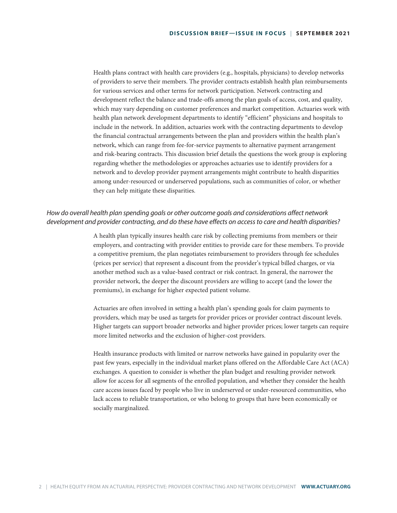Health plans contract with health care providers (e.g., hospitals, physicians) to develop networks of providers to serve their members. The provider contracts establish health plan reimbursements for various services and other terms for network participation. Network contracting and development reflect the balance and trade-offs among the plan goals of access, cost, and quality, which may vary depending on customer preferences and market competition. Actuaries work with health plan network development departments to identify "efficient" physicians and hospitals to include in the network. In addition, actuaries work with the contracting departments to develop the financial contractual arrangements between the plan and providers within the health plan's network, which can range from fee-for-service payments to alternative payment arrangement and risk-bearing contracts. This discussion brief details the questions the work group is exploring regarding whether the methodologies or approaches actuaries use to identify providers for a network and to develop provider payment arrangements might contribute to health disparities among under-resourced or underserved populations, such as communities of color, or whether they can help mitigate these disparities.

# *How do overall health plan spending goals or other outcome goals and considerations affect network development and provider contracting, and do these have effects on access to care and health disparities?*

A health plan typically insures health care risk by collecting premiums from members or their employers, and contracting with provider entities to provide care for these members. To provide a competitive premium, the plan negotiates reimbursement to providers through fee schedules (prices per service) that represent a discount from the provider's typical billed charges, or via another method such as a value-based contract or risk contract. In general, the narrower the provider network, the deeper the discount providers are willing to accept (and the lower the premiums), in exchange for higher expected patient volume.

Actuaries are often involved in setting a health plan's spending goals for claim payments to providers, which may be used as targets for provider prices or provider contract discount levels. Higher targets can support broader networks and higher provider prices; lower targets can require more limited networks and the exclusion of higher-cost providers.

Health insurance products with limited or narrow networks have gained in popularity over the past few years, especially in the individual market plans offered on the Affordable Care Act (ACA) exchanges. A question to consider is whether the plan budget and resulting provider network allow for access for all segments of the enrolled population, and whether they consider the health care access issues faced by people who live in underserved or under-resourced communities, who lack access to reliable transportation, or who belong to groups that have been economically or socially marginalized.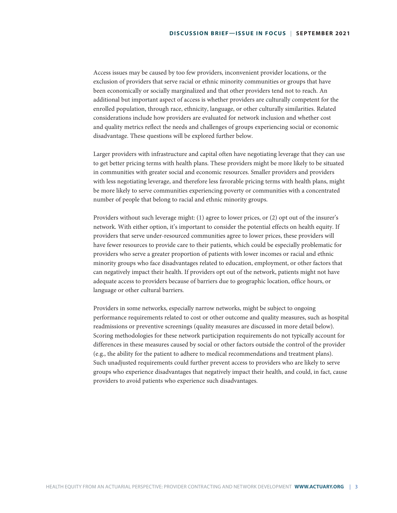Access issues may be caused by too few providers, inconvenient provider locations, or the exclusion of providers that serve racial or ethnic minority communities or groups that have been economically or socially marginalized and that other providers tend not to reach. An additional but important aspect of access is whether providers are culturally competent for the enrolled population, through race, ethnicity, language, or other culturally similarities. Related considerations include how providers are evaluated for network inclusion and whether cost and quality metrics reflect the needs and challenges of groups experiencing social or economic disadvantage. These questions will be explored further below.

Larger providers with infrastructure and capital often have negotiating leverage that they can use to get better pricing terms with health plans. These providers might be more likely to be situated in communities with greater social and economic resources. Smaller providers and providers with less negotiating leverage, and therefore less favorable pricing terms with health plans, might be more likely to serve communities experiencing poverty or communities with a concentrated number of people that belong to racial and ethnic minority groups.

Providers without such leverage might: (1) agree to lower prices, or (2) opt out of the insurer's network. With either option, it's important to consider the potential effects on health equity. If providers that serve under-resourced communities agree to lower prices, these providers will have fewer resources to provide care to their patients, which could be especially problematic for providers who serve a greater proportion of patients with lower incomes or racial and ethnic minority groups who face disadvantages related to education, employment, or other factors that can negatively impact their health. If providers opt out of the network, patients might not have adequate access to providers because of barriers due to geographic location, office hours, or language or other cultural barriers.

Providers in some networks, especially narrow networks, might be subject to ongoing performance requirements related to cost or other outcome and quality measures, such as hospital readmissions or preventive screenings (quality measures are discussed in more detail below). Scoring methodologies for these network participation requirements do not typically account for differences in these measures caused by social or other factors outside the control of the provider (e.g., the ability for the patient to adhere to medical recommendations and treatment plans). Such unadjusted requirements could further prevent access to providers who are likely to serve groups who experience disadvantages that negatively impact their health, and could, in fact, cause providers to avoid patients who experience such disadvantages.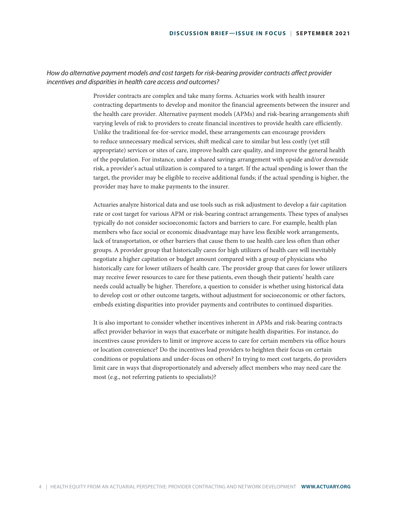# *How do alternative payment models and cost targets for risk-bearing provider contracts affect provider incentives and disparities in health care access and outcomes?*

Provider contracts are complex and take many forms. Actuaries work with health insurer contracting departments to develop and monitor the financial agreements between the insurer and the health care provider. Alternative payment models (APMs) and risk-bearing arrangements shift varying levels of risk to providers to create financial incentives to provide health care efficiently. Unlike the traditional fee-for-service model, these arrangements can encourage providers to reduce unnecessary medical services, shift medical care to similar but less costly (yet still appropriate) services or sites of care, improve health care quality, and improve the general health of the population. For instance, under a shared savings arrangement with upside and/or downside risk, a provider's actual utilization is compared to a target. If the actual spending is lower than the target, the provider may be eligible to receive additional funds; if the actual spending is higher, the provider may have to make payments to the insurer.

Actuaries analyze historical data and use tools such as risk adjustment to develop a fair capitation rate or cost target for various APM or risk-bearing contract arrangements. These types of analyses typically do not consider socioeconomic factors and barriers to care. For example, health plan members who face social or economic disadvantage may have less flexible work arrangements, lack of transportation, or other barriers that cause them to use health care less often than other groups. A provider group that historically cares for high utilizers of health care will inevitably negotiate a higher capitation or budget amount compared with a group of physicians who historically care for lower utilizers of health care. The provider group that cares for lower utilizers may receive fewer resources to care for these patients, even though their patients' health care needs could actually be higher. Therefore, a question to consider is whether using historical data to develop cost or other outcome targets, without adjustment for socioeconomic or other factors, embeds existing disparities into provider payments and contributes to continued disparities.

It is also important to consider whether incentives inherent in APMs and risk-bearing contracts affect provider behavior in ways that exacerbate or mitigate health disparities. For instance, do incentives cause providers to limit or improve access to care for certain members via office hours or location convenience? Do the incentives lead providers to heighten their focus on certain conditions or populations and under-focus on others? In trying to meet cost targets, do providers limit care in ways that disproportionately and adversely affect members who may need care the most (e.g., not referring patients to specialists)?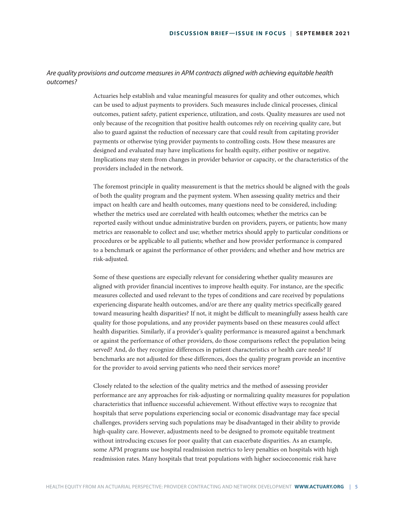### *Are quality provisions and outcome measures in APM contracts aligned with achieving equitable health outcomes?*

Actuaries help establish and value meaningful measures for quality and other outcomes, which can be used to adjust payments to providers. Such measures include clinical processes, clinical outcomes, patient safety, patient experience, utilization, and costs. Quality measures are used not only because of the recognition that positive health outcomes rely on receiving quality care, but also to guard against the reduction of necessary care that could result from capitating provider payments or otherwise tying provider payments to controlling costs. How these measures are designed and evaluated may have implications for health equity, either positive or negative. Implications may stem from changes in provider behavior or capacity, or the characteristics of the providers included in the network.

The foremost principle in quality measurement is that the metrics should be aligned with the goals of both the quality program and the payment system. When assessing quality metrics and their impact on health care and health outcomes, many questions need to be considered, including: whether the metrics used are correlated with health outcomes; whether the metrics can be reported easily without undue administrative burden on providers, payers, or patients; how many metrics are reasonable to collect and use; whether metrics should apply to particular conditions or procedures or be applicable to all patients; whether and how provider performance is compared to a benchmark or against the performance of other providers; and whether and how metrics are risk-adjusted.

Some of these questions are especially relevant for considering whether quality measures are aligned with provider financial incentives to improve health equity. For instance, are the specific measures collected and used relevant to the types of conditions and care received by populations experiencing disparate health outcomes, and/or are there any quality metrics specifically geared toward measuring health disparities? If not, it might be difficult to meaningfully assess health care quality for those populations, and any provider payments based on these measures could affect health disparities. Similarly, if a provider's quality performance is measured against a benchmark or against the performance of other providers, do those comparisons reflect the population being served? And, do they recognize differences in patient characteristics or health care needs? If benchmarks are not adjusted for these differences, does the quality program provide an incentive for the provider to avoid serving patients who need their services more?

Closely related to the selection of the quality metrics and the method of assessing provider performance are any approaches for risk-adjusting or normalizing quality measures for population characteristics that influence successful achievement. Without effective ways to recognize that hospitals that serve populations experiencing social or economic disadvantage may face special challenges, providers serving such populations may be disadvantaged in their ability to provide high-quality care. However, adjustments need to be designed to promote equitable treatment without introducing excuses for poor quality that can exacerbate disparities. As an example, some APM programs use hospital readmission metrics to levy penalties on hospitals with high readmission rates. Many hospitals that treat populations with higher socioeconomic risk have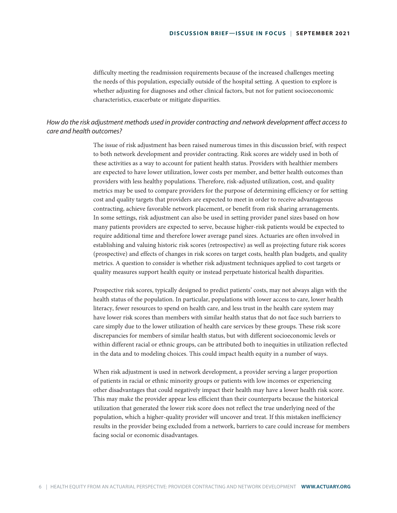difficulty meeting the readmission requirements because of the increased challenges meeting the needs of this population, especially outside of the hospital setting. A question to explore is whether adjusting for diagnoses and other clinical factors, but not for patient socioeconomic characteristics, exacerbate or mitigate disparities.

# *How do the risk adjustment methods used in provider contracting and network development affect access to care and health outcomes?*

The issue of risk adjustment has been raised numerous times in this discussion brief, with respect to both network development and provider contracting. Risk scores are widely used in both of these activities as a way to account for patient health status. Providers with healthier members are expected to have lower utilization, lower costs per member, and better health outcomes than providers with less healthy populations. Therefore, risk-adjusted utilization, cost, and quality metrics may be used to compare providers for the purpose of determining efficiency or for setting cost and quality targets that providers are expected to meet in order to receive advantageous contracting, achieve favorable network placement, or benefit from risk sharing arranagements. In some settings, risk adjustment can also be used in setting provider panel sizes based on how many patients providers are expected to serve, because higher-risk patients would be expected to require additional time and therefore lower average panel sizes. Actuaries are often involved in establishing and valuing historic risk scores (retrospective) as well as projecting future risk scores (prospective) and effects of changes in risk scores on target costs, health plan budgets, and quality metrics. A question to consider is whether risk adjustment techniques applied to cost targets or quality measures support health equity or instead perpetuate historical health disparities.

Prospective risk scores, typically designed to predict patients' costs, may not always align with the health status of the population. In particular, populations with lower access to care, lower health literacy, fewer resources to spend on health care, and less trust in the health care system may have lower risk scores than members with similar health status that do not face such barriers to care simply due to the lower utilization of health care services by these groups. These risk score discrepancies for members of similar health status, but with different socioeconomic levels or within different racial or ethnic groups, can be attributed both to inequities in utilization reflected in the data and to modeling choices. This could impact health equity in a number of ways.

When risk adjustment is used in network development, a provider serving a larger proportion of patients in racial or ethnic minority groups or patients with low incomes or experiencing other disadvantages that could negatively impact their health may have a lower health risk score. This may make the provider appear less efficient than their counterparts because the historical utilization that generated the lower risk score does not reflect the true underlying need of the population, which a higher-quality provider will uncover and treat. If this mistaken inefficiency results in the provider being excluded from a network, barriers to care could increase for members facing social or economic disadvantages.